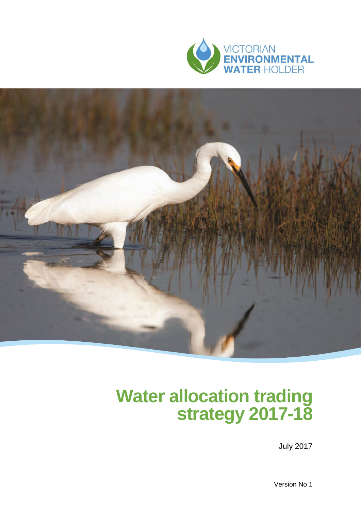



## **Water allocation trading strategy 2017-18**

July 2017

Version No 1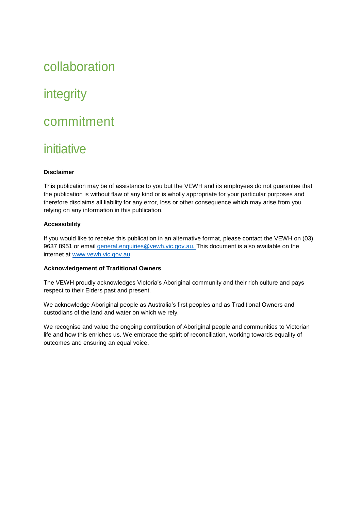## collaboration

## integrity

### commitment

### initiative

#### **Disclaimer**

This publication may be of assistance to you but the VEWH and its employees do not guarantee that the publication is without flaw of any kind or is wholly appropriate for your particular purposes and therefore disclaims all liability for any error, loss or other consequence which may arise from you relying on any information in this publication.

#### **Accessibility**

If you would like to receive this publication in an alternative format, please contact the VEWH on (03) 9637 8951 or email [general.enquiries@vewh.vic.gov.au. T](mailto:general.enquiries@vewh.vic.gov.au)his document is also available on the internet at [www.vewh.vic.gov.au.](http://www.vewh.vic.gov.au/)

#### **Acknowledgement of Traditional Owners**

The VEWH proudly acknowledges Victoria's Aboriginal community and their rich culture and pays respect to their Elders past and present.

We acknowledge Aboriginal people as Australia's first peoples and as Traditional Owners and custodians of the land and water on which we rely.

We recognise and value the ongoing contribution of Aboriginal people and communities to Victorian life and how this enriches us. We embrace the spirit of reconciliation, working towards equality of outcomes and ensuring an equal voice.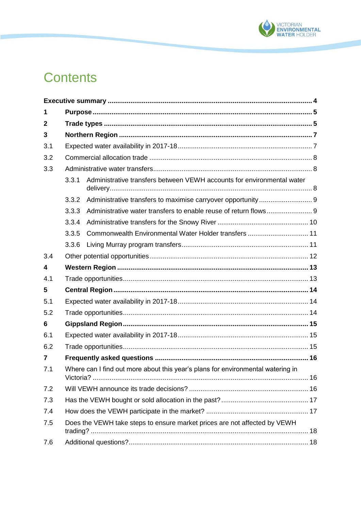

## **Contents**

| 1                       |                                                                           |                                                                                 |  |  |
|-------------------------|---------------------------------------------------------------------------|---------------------------------------------------------------------------------|--|--|
| $\mathbf{2}$            |                                                                           |                                                                                 |  |  |
| 3                       |                                                                           |                                                                                 |  |  |
| 3.1                     |                                                                           |                                                                                 |  |  |
| 3.2                     |                                                                           |                                                                                 |  |  |
| 3.3                     |                                                                           |                                                                                 |  |  |
|                         | 3.3.1                                                                     | Administrative transfers between VEWH accounts for environmental water          |  |  |
|                         | 3.3.2                                                                     |                                                                                 |  |  |
|                         | 3.3.3                                                                     |                                                                                 |  |  |
|                         | 3.3.4                                                                     |                                                                                 |  |  |
|                         | 3.3.5                                                                     | Commonwealth Environmental Water Holder transfers 11                            |  |  |
|                         | 3.3.6                                                                     |                                                                                 |  |  |
| 3.4                     |                                                                           |                                                                                 |  |  |
| $\overline{\mathbf{4}}$ |                                                                           |                                                                                 |  |  |
| 4.1                     |                                                                           |                                                                                 |  |  |
| 5                       |                                                                           |                                                                                 |  |  |
| 5.1                     |                                                                           |                                                                                 |  |  |
| 5.2                     |                                                                           |                                                                                 |  |  |
| 6                       |                                                                           |                                                                                 |  |  |
| 6.1                     |                                                                           |                                                                                 |  |  |
| 6.2                     |                                                                           |                                                                                 |  |  |
| $\overline{7}$          |                                                                           |                                                                                 |  |  |
| 7.1                     |                                                                           | Where can I find out more about this year's plans for environmental watering in |  |  |
| 7.2                     |                                                                           |                                                                                 |  |  |
| 7.3                     |                                                                           |                                                                                 |  |  |
| 7.4                     |                                                                           |                                                                                 |  |  |
| 7.5                     | Does the VEWH take steps to ensure market prices are not affected by VEWH |                                                                                 |  |  |
| 7.6                     |                                                                           |                                                                                 |  |  |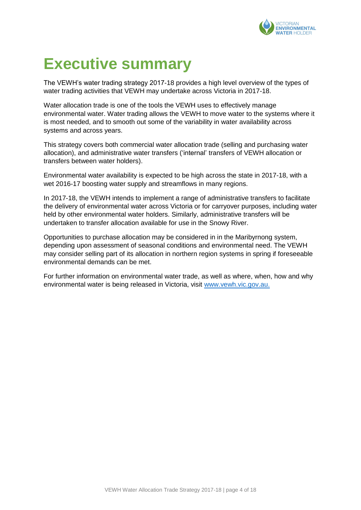

## <span id="page-3-0"></span>**Executive summary**

The VEWH's water trading strategy 2017-18 provides a high level overview of the types of water trading activities that VEWH may undertake across Victoria in 2017-18.

Water allocation trade is one of the tools the VEWH uses to effectively manage environmental water. Water trading allows the VEWH to move water to the systems where it is most needed, and to smooth out some of the variability in water availability across systems and across years.

This strategy covers both commercial water allocation trade (selling and purchasing water allocation), and administrative water transfers ('internal' transfers of VEWH allocation or transfers between water holders).

Environmental water availability is expected to be high across the state in 2017-18, with a wet 2016-17 boosting water supply and streamflows in many regions.

In 2017-18, the VEWH intends to implement a range of administrative transfers to facilitate the delivery of environmental water across Victoria or for carryover purposes, including water held by other environmental water holders. Similarly, administrative transfers will be undertaken to transfer allocation available for use in the Snowy River.

Opportunities to purchase allocation may be considered in in the Maribyrnong system, depending upon assessment of seasonal conditions and environmental need. The VEWH may consider selling part of its allocation in northern region systems in spring if foreseeable environmental demands can be met.

For further information on environmental water trade, as well as where, when, how and why environmental water is being released in Victoria, visit www.vewh.vic.gov.au.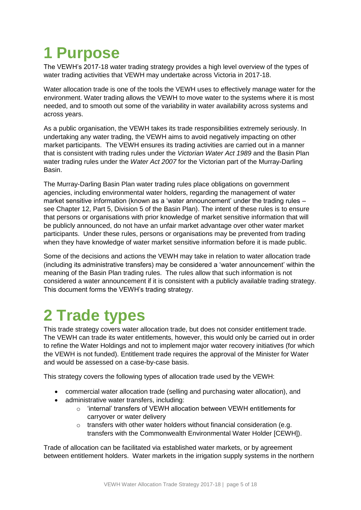# <span id="page-4-0"></span>**1 Purpose**

The VEWH's 2017-18 water trading strategy provides a high level overview of the types of water trading activities that VEWH may undertake across Victoria in 2017-18.

Water allocation trade is one of the tools the VEWH uses to effectively manage water for the environment. Water trading allows the VEWH to move water to the systems where it is most needed, and to smooth out some of the variability in water availability across systems and across years.

As a public organisation, the VEWH takes its trade responsibilities extremely seriously. In undertaking any water trading, the VEWH aims to avoid negatively impacting on other market participants. The VEWH ensures its trading activities are carried out in a manner that is consistent with trading rules under the *Victorian Water Act 1989* and the Basin Plan water trading rules under the *Water Act 2007* for the Victorian part of the Murray-Darling Basin.

The Murray-Darling Basin Plan water trading rules place obligations on government agencies, including environmental water holders, regarding the management of water market sensitive information (known as a 'water announcement' under the trading rules – see Chapter 12, Part 5, Division 5 of the Basin Plan). The intent of these rules is to ensure that persons or organisations with prior knowledge of market sensitive information that will be publicly announced, do not have an unfair market advantage over other water market participants. Under these rules, persons or organisations may be prevented from trading when they have knowledge of water market sensitive information before it is made public.

Some of the decisions and actions the VEWH may take in relation to water allocation trade (including its administrative transfers) may be considered a 'water announcement' within the meaning of the Basin Plan trading rules. The rules allow that such information is not considered a water announcement if it is consistent with a publicly available trading strategy. This document forms the VEWH's trading strategy.

## <span id="page-4-1"></span>**2 Trade types**

This trade strategy covers water allocation trade, but does not consider entitlement trade. The VEWH can trade its water entitlements, however, this would only be carried out in order to refine the Water Holdings and not to implement major water recovery initiatives (for which the VEWH is not funded). Entitlement trade requires the approval of the Minister for Water and would be assessed on a case-by-case basis.

This strategy covers the following types of allocation trade used by the VEWH:

- commercial water allocation trade (selling and purchasing water allocation), and
- administrative water transfers, including:
	- o 'internal' transfers of VEWH allocation between VEWH entitlements for carryover or water delivery
	- o transfers with other water holders without financial consideration (e.g. transfers with the Commonwealth Environmental Water Holder [CEWH]).

Trade of allocation can be facilitated via established water markets, or by agreement between entitlement holders. Water markets in the irrigation supply systems in the northern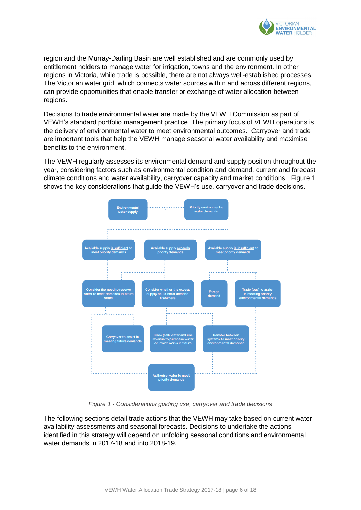

region and the Murray-Darling Basin are well established and are commonly used by entitlement holders to manage water for irrigation, towns and the environment. In other regions in Victoria, while trade is possible, there are not always well-established processes. The Victorian water grid, which connects water sources within and across different regions, can provide opportunities that enable transfer or exchange of water allocation between regions.

Decisions to trade environmental water are made by the VEWH Commission as part of VEWH's standard portfolio management practice. The primary focus of VEWH operations is the delivery of environmental water to meet environmental outcomes. Carryover and trade are important tools that help the VEWH manage seasonal water availability and maximise benefits to the environment.

The VEWH regularly assesses its environmental demand and supply position throughout the year, considering factors such as environmental condition and demand, current and forecast climate conditions and water availability, carryover capacity and market conditions. [Figure 1](#page-5-0) shows the key considerations that guide the VEWH's use, carryover and trade decisions.



*Figure 1 - Considerations guiding use, carryover and trade decisions*

<span id="page-5-0"></span>The following sections detail trade actions that the VEWH may take based on current water availability assessments and seasonal forecasts. Decisions to undertake the actions identified in this strategy will depend on unfolding seasonal conditions and environmental water demands in 2017-18 and into 2018-19.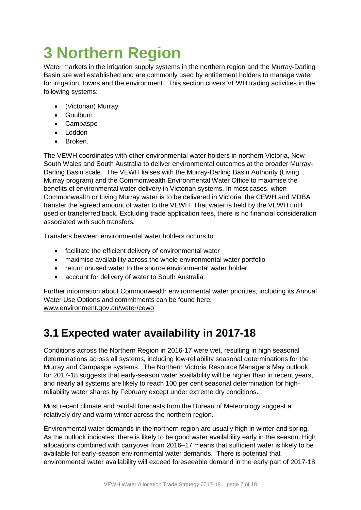# <span id="page-6-0"></span>**3 Northern Region**

Water markets in the irrigation supply systems in the northern region and the Murray-Darling Basin are well established and are commonly used by entitlement holders to manage water for irrigation, towns and the environment. This section covers VEWH trading activities in the following systems:

- (Victorian) Murray
- Goulburn
- Campaspe
- Loddon
- Broken

The VEWH coordinates with other environmental water holders in northern Victoria, New South Wales and South Australia to deliver environmental outcomes at the broader Murray-Darling Basin scale. The VEWH liaises with the Murray-Darling Basin Authority (Living Murray program) and the Commonwealth Environmental Water Office to maximise the benefits of environmental water delivery in Victorian systems. In most cases, when Commonwealth or Living Murray water is to be delivered in Victoria, the CEWH and MDBA transfer the agreed amount of water to the VEWH. That water is held by the VEWH until used or transferred back. Excluding trade application fees, there is no financial consideration associated with such transfers.

Transfers between environmental water holders occurs to:

- facilitate the efficient delivery of environmental water
- maximise availability across the whole environmental water portfolio
- return unused water to the source environmental water holder
- account for delivery of water to South Australia.

Further information about Commonwealth environmental water priorities, including its Annual Water Use Options and commitments can be found here: [www.environment.gov.au/water/cewo](http://www.environment.gov.au/water/cewo)

### <span id="page-6-1"></span>**3.1 Expected water availability in 2017-18**

Conditions across the Northern Region in 2016-17 were wet, resulting in high seasonal determinations across all systems, including low-reliability seasonal determinations for the Murray and Campaspe systems. The Northern Victoria Resource Manager's May outlook for 2017-18 suggests that early-season water availability will be higher than in recent years, and nearly all systems are likely to reach 100 per cent seasonal determination for highreliability water shares by February except under extreme dry conditions.

Most recent climate and rainfall forecasts from the Bureau of Meteorology suggest a relatively dry and warm winter across the northern region.

Environmental water demands in the northern region are usually high in winter and spring. As the outlook indicates, there is likely to be good water availability early in the season. High allocations combined with carryover from 2016–17 means that sufficient water is likely to be available for early-season environmental water demands. There is potential that environmental water availability will exceed foreseeable demand in the early part of 2017-18.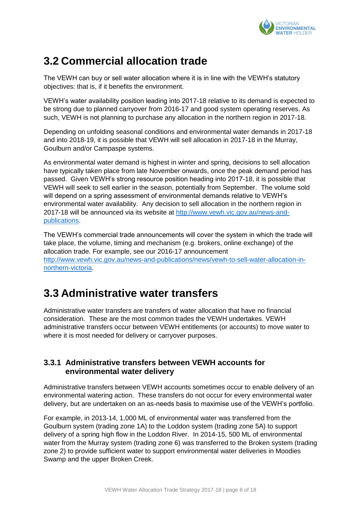

### <span id="page-7-0"></span>**3.2 Commercial allocation trade**

The VEWH can buy or sell water allocation where it is in line with the VEWH's statutory objectives: that is, if it benefits the environment.

VEWH's water availability position leading into 2017-18 relative to its demand is expected to be strong due to planned carryover from 2016-17 and good system operating reserves. As such, VEWH is not planning to purchase any allocation in the northern region in 2017-18.

Depending on unfolding seasonal conditions and environmental water demands in 2017-18 and into 2018-19, it is possible that VEWH will sell allocation in 2017-18 in the Murray, Goulburn and/or Campaspe systems.

As environmental water demand is highest in winter and spring, decisions to sell allocation have typically taken place from late November onwards, once the peak demand period has passed. Given VEWH's strong resource position heading into 2017-18, it is possible that VEWH will seek to sell earlier in the season, potentially from September. The volume sold will depend on a spring assessment of environmental demands relative to VEWH's environmental water availability. Any decision to sell allocation in the northern region in 2017-18 will be announced via its website at http://www.vewh.vic.gov.au/news-andpublications.

The VEWH's commercial trade announcements will cover the system in which the trade will take place, the volume, timing and mechanism (e.g. brokers, online exchange) of the allocation trade. For example, see our 2016-17 announcement [http://www.vewh.vic.gov.au/news-and-publications/news/vewh-to-sell-water-allocation-in](http://www.vewh.vic.gov.au/news-and-publications/news/vewh-to-sell-water-allocation-in-northern-victoria)[northern-victoria.](http://www.vewh.vic.gov.au/news-and-publications/news/vewh-to-sell-water-allocation-in-northern-victoria)

### <span id="page-7-1"></span>**3.3 Administrative water transfers**

Administrative water transfers are transfers of water allocation that have no financial consideration. These are the most common trades the VEWH undertakes. VEWH administrative transfers occur between VEWH entitlements (or accounts) to move water to where it is most needed for delivery or carryover purposes.

#### <span id="page-7-2"></span>**3.3.1 Administrative transfers between VEWH accounts for environmental water delivery**

Administrative transfers between VEWH accounts sometimes occur to enable delivery of an environmental watering action. These transfers do not occur for every environmental water delivery, but are undertaken on an as-needs basis to maximise use of the VEWH's portfolio.

For example, in 2013-14, 1,000 ML of environmental water was transferred from the Goulburn system (trading zone 1A) to the Loddon system (trading zone 5A) to support delivery of a spring high flow in the Loddon River. In 2014-15, 500 ML of environmental water from the Murray system (trading zone 6) was transferred to the Broken system (trading zone 2) to provide sufficient water to support environmental water deliveries in Moodies Swamp and the upper Broken Creek.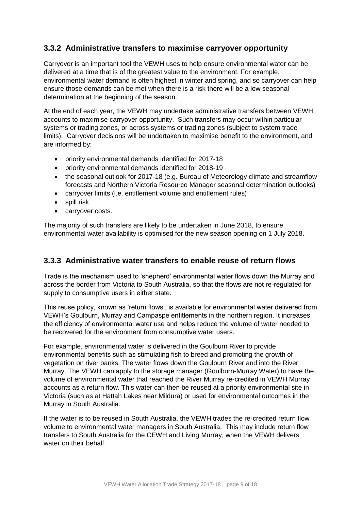### <span id="page-8-0"></span>**3.3.2 Administrative transfers to maximise carryover opportunity**

Carryover is an important tool the VEWH uses to help ensure environmental water can be delivered at a time that is of the greatest value to the environment. For example, environmental water demand is often highest in winter and spring, and so carryover can help ensure those demands can be met when there is a risk there will be a low seasonal determination at the beginning of the season.

At the end of each year, the VEWH may undertake administrative transfers between VEWH accounts to maximise carryover opportunity. Such transfers may occur within particular systems or trading zones, or across systems or trading zones (subject to system trade limits). Carryover decisions will be undertaken to maximise benefit to the environment, and are informed by:

- priority environmental demands identified for 2017-18
- priority environmental demands identified for 2018-19
- the seasonal outlook for 2017-18 (e.g. Bureau of Meteorology climate and streamflow forecasts and Northern Victoria Resource Manager seasonal determination outlooks)
- carryover limits (i.e. entitlement volume and entitlement rules)
- spill risk
- carryover costs.

The majority of such transfers are likely to be undertaken in June 2018, to ensure environmental water availability is optimised for the new season opening on 1 July 2018.

#### <span id="page-8-1"></span>**3.3.3 Administrative water transfers to enable reuse of return flows**

Trade is the mechanism used to 'shepherd' environmental water flows down the Murray and across the border from Victoria to South Australia, so that the flows are not re-regulated for supply to consumptive users in either state.

This reuse policy, known as 'return flows', is available for environmental water delivered from VEWH's Goulburn, Murray and Campaspe entitlements in the northern region. It increases the efficiency of environmental water use and helps reduce the volume of water needed to be recovered for the environment from consumptive water users.

For example, environmental water is delivered in the Goulburn River to provide environmental benefits such as stimulating fish to breed and promoting the growth of vegetation on river banks. The water flows down the Goulburn River and into the River Murray. The VEWH can apply to the storage manager (Goulburn-Murray Water) to have the volume of environmental water that reached the River Murray re-credited in VEWH Murray accounts as a return flow. This water can then be reused at a priority environmental site in Victoria (such as at Hattah Lakes near Mildura) or used for environmental outcomes in the Murray in South Australia.

If the water is to be reused in South Australia, the VEWH trades the re-credited return flow volume to environmental water managers in South Australia. This may include return flow transfers to South Australia for the CEWH and Living Murray, when the VEWH delivers water on their behalf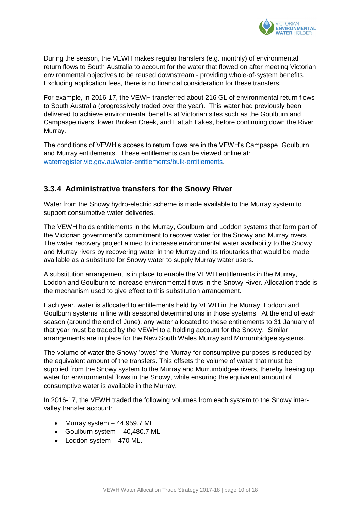

During the season, the VEWH makes regular transfers (e.g. monthly) of environmental return flows to South Australia to account for the water that flowed on after meeting Victorian environmental objectives to be reused downstream - providing whole-of-system benefits. Excluding application fees, there is no financial consideration for these transfers.

For example, in 2016-17, the VEWH transferred about 216 GL of environmental return flows to South Australia (progressively traded over the year). This water had previously been delivered to achieve environmental benefits at Victorian sites such as the Goulburn and Campaspe rivers, lower Broken Creek, and Hattah Lakes, before continuing down the River Murray.

The conditions of VEWH's access to return flows are in the VEWH's Campaspe, Goulburn and Murray entitlements. These entitlements can be viewed online at: [waterregister.vic.gov.au/water-entitlements/bulk-entitlements.](http://waterregister.vic.gov.au/water-entitlements/bulk-entitlements)

### <span id="page-9-0"></span>**3.3.4 Administrative transfers for the Snowy River**

Water from the Snowy hydro-electric scheme is made available to the Murray system to support consumptive water deliveries.

The VEWH holds entitlements in the Murray, Goulburn and Loddon systems that form part of the Victorian government's commitment to recover water for the Snowy and Murray rivers. The water recovery project aimed to increase environmental water availability to the Snowy and Murray rivers by recovering water in the Murray and its tributaries that would be made available as a substitute for Snowy water to supply Murray water users.

A substitution arrangement is in place to enable the VEWH entitlements in the Murray, Loddon and Goulburn to increase environmental flows in the Snowy River. Allocation trade is the mechanism used to give effect to this substitution arrangement.

Each year, water is allocated to entitlements held by VEWH in the Murray, Loddon and Goulburn systems in line with seasonal determinations in those systems. At the end of each season (around the end of June), any water allocated to these entitlements to 31 January of that year must be traded by the VEWH to a holding account for the Snowy. Similar arrangements are in place for the New South Wales Murray and Murrumbidgee systems.

The volume of water the Snowy 'owes' the Murray for consumptive purposes is reduced by the equivalent amount of the transfers. This offsets the volume of water that must be supplied from the Snowy system to the Murray and Murrumbidgee rivers, thereby freeing up water for environmental flows in the Snowy, while ensuring the equivalent amount of consumptive water is available in the Murray.

In 2016-17, the VEWH traded the following volumes from each system to the Snowy intervalley transfer account:

- $\bullet$  Murray system  $-44,959.7$  ML
- Goulburn system 40,480.7 ML
- Loddon system 470 ML.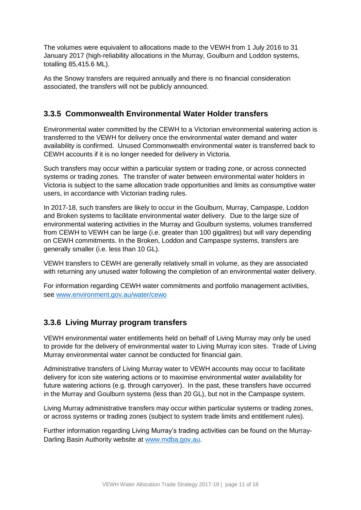The volumes were equivalent to allocations made to the VEWH from 1 July 2016 to 31 January 2017 (high-reliability allocations in the Murray, Goulburn and Loddon systems, totalling 85,415.6 ML).

As the Snowy transfers are required annually and there is no financial consideration associated, the transfers will not be publicly announced.

#### <span id="page-10-0"></span>**3.3.5 Commonwealth Environmental Water Holder transfers**

Environmental water committed by the CEWH to a Victorian environmental watering action is transferred to the VEWH for delivery once the environmental water demand and water availability is confirmed. Unused Commonwealth environmental water is transferred back to CEWH accounts if it is no longer needed for delivery in Victoria.

Such transfers may occur within a particular system or trading zone, or across connected systems or trading zones. The transfer of water between environmental water holders in Victoria is subject to the same allocation trade opportunities and limits as consumptive water users, in accordance with Victorian trading rules.

In 2017-18, such transfers are likely to occur in the Goulburn, Murray, Campaspe, Loddon and Broken systems to facilitate environmental water delivery. Due to the large size of environmental watering activities in the Murray and Goulburn systems, volumes transferred from CEWH to VEWH can be large (i.e. greater than 100 gigalitres) but will vary depending on CEWH commitments. In the Broken, Loddon and Campaspe systems, transfers are generally smaller (i.e. less than 10 GL).

VEWH transfers to CEWH are generally relatively small in volume, as they are associated with returning any unused water following the completion of an environmental water delivery.

For information regarding CEWH water commitments and portfolio management activities, see [www.environment.gov.au/water/cewo](http://www.environment.gov.au/water/cewo)

### <span id="page-10-1"></span>**3.3.6 Living Murray program transfers**

VEWH environmental water entitlements held on behalf of Living Murray may only be used to provide for the delivery of environmental water to Living Murray icon sites. Trade of Living Murray environmental water cannot be conducted for financial gain.

Administrative transfers of Living Murray water to VEWH accounts may occur to facilitate delivery for icon site watering actions or to maximise environmental water availability for future watering actions (e.g. through carryover). In the past, these transfers have occurred in the Murray and Goulburn systems (less than 20 GL), but not in the Campaspe system.

Living Murray administrative transfers may occur within particular systems or trading zones, or across systems or trading zones (subject to system trade limits and entitlement rules).

Further information regarding Living Murray's trading activities can be found on the MurrayDarling Basin Authority website at [www.mdba.gov.au.](http://www.mdba.gov.au/)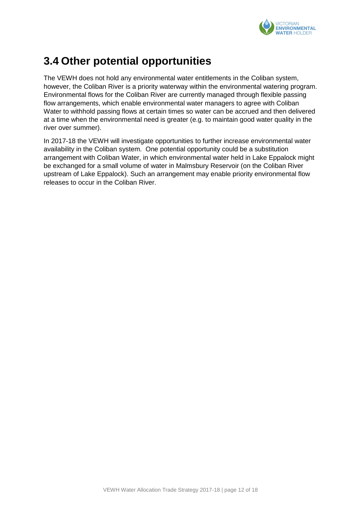

### <span id="page-11-0"></span>**3.4 Other potential opportunities**

The VEWH does not hold any environmental water entitlements in the Coliban system, however, the Coliban River is a priority waterway within the environmental watering program. Environmental flows for the Coliban River are currently managed through flexible passing flow arrangements, which enable environmental water managers to agree with Coliban Water to withhold passing flows at certain times so water can be accrued and then delivered at a time when the environmental need is greater (e.g. to maintain good water quality in the river over summer).

In 2017-18 the VEWH will investigate opportunities to further increase environmental water availability in the Coliban system. One potential opportunity could be a substitution arrangement with Coliban Water, in which environmental water held in Lake Eppalock might be exchanged for a small volume of water in Malmsbury Reservoir (on the Coliban River upstream of Lake Eppalock). Such an arrangement may enable priority environmental flow releases to occur in the Coliban River.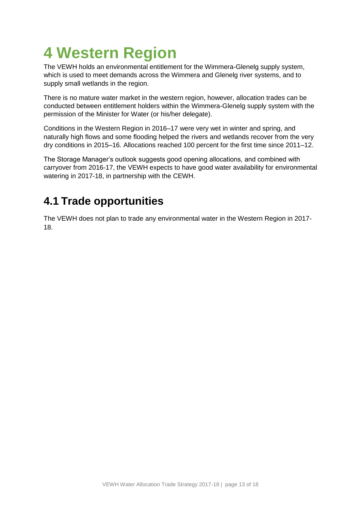# <span id="page-12-0"></span>**4 Western Region**

The VEWH holds an environmental entitlement for the Wimmera-Glenelg supply system, which is used to meet demands across the Wimmera and Glenelg river systems, and to supply small wetlands in the region.

There is no mature water market in the western region, however, allocation trades can be conducted between entitlement holders within the Wimmera-Glenelg supply system with the permission of the Minister for Water (or his/her delegate).

Conditions in the Western Region in 2016–17 were very wet in winter and spring, and naturally high flows and some flooding helped the rivers and wetlands recover from the very dry conditions in 2015–16. Allocations reached 100 percent for the first time since 2011–12.

The Storage Manager's outlook suggests good opening allocations, and combined with carryover from 2016-17, the VEWH expects to have good water availability for environmental watering in 2017-18, in partnership with the CEWH.

### <span id="page-12-1"></span>**4.1 Trade opportunities**

The VEWH does not plan to trade any environmental water in the Western Region in 2017- 18.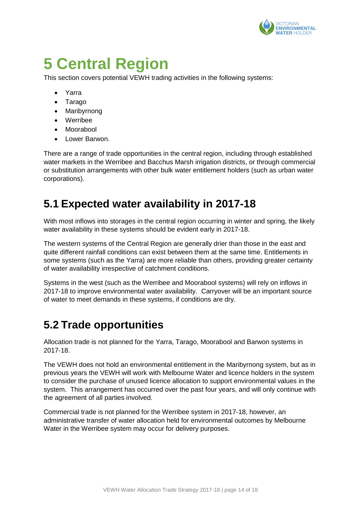

## <span id="page-13-0"></span>**5 Central Region**

This section covers potential VEWH trading activities in the following systems:

- Yarra
- Tarago
- Maribyrnong
- Werribee
- Moorabool
- Lower Barwon.

There are a range of trade opportunities in the central region, including through established water markets in the Werribee and Bacchus Marsh irrigation districts, or through commercial or substitution arrangements with other bulk water entitlement holders (such as urban water corporations).

### <span id="page-13-1"></span>**5.1 Expected water availability in 2017-18**

With most inflows into storages in the central region occurring in winter and spring, the likely water availability in these systems should be evident early in 2017-18.

The western systems of the Central Region are generally drier than those in the east and quite different rainfall conditions can exist between them at the same time. Entitlements in some systems (such as the Yarra) are more reliable than others, providing greater certainty of water availability irrespective of catchment conditions.

Systems in the west (such as the Werribee and Moorabool systems) will rely on inflows in 2017-18 to improve environmental water availability. Carryover will be an important source of water to meet demands in these systems, if conditions are dry.

### <span id="page-13-2"></span>**5.2 Trade opportunities**

Allocation trade is not planned for the Yarra, Tarago, Moorabool and Barwon systems in 2017-18.

The VEWH does not hold an environmental entitlement in the Maribyrnong system, but as in previous years the VEWH will work with Melbourne Water and licence holders in the system to consider the purchase of unused licence allocation to support environmental values in the system. This arrangement has occurred over the past four years, and will only continue with the agreement of all parties involved.

Commercial trade is not planned for the Werribee system in 2017-18, however, an administrative transfer of water allocation held for environmental outcomes by Melbourne Water in the Werribee system may occur for delivery purposes.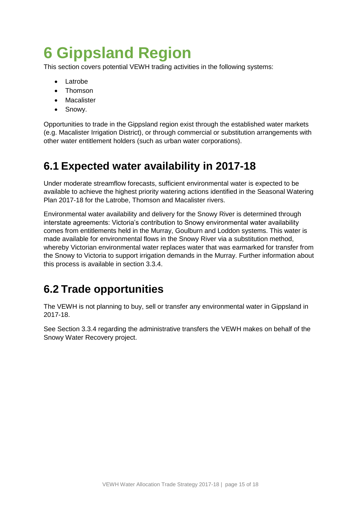## <span id="page-14-0"></span>**6 Gippsland Region**

This section covers potential VEWH trading activities in the following systems:

- Latrobe
- Thomson
- Macalister
- Snowy.

Opportunities to trade in the Gippsland region exist through the established water markets (e.g. Macalister Irrigation District), or through commercial or substitution arrangements with other water entitlement holders (such as urban water corporations).

### <span id="page-14-1"></span>**6.1 Expected water availability in 2017-18**

Under moderate streamflow forecasts, sufficient environmental water is expected to be available to achieve the highest priority watering actions identified in the Seasonal Watering Plan 2017-18 for the Latrobe, Thomson and Macalister rivers.

Environmental water availability and delivery for the Snowy River is determined through interstate agreements: Victoria's contribution to Snowy environmental water availability comes from entitlements held in the Murray, Goulburn and Loddon systems. This water is made available for environmental flows in the Snowy River via a substitution method, whereby Victorian environmental water replaces water that was earmarked for transfer from the Snowy to Victoria to support irrigation demands in the Murray. Further information about this process is available in section [3.3.4.](#page-9-0)

### <span id="page-14-2"></span>**6.2 Trade opportunities**

The VEWH is not planning to buy, sell or transfer any environmental water in Gippsland in 2017-18.

See Section [3.3.4](#page-9-0) regarding the administrative transfers the VEWH makes on behalf of the Snowy Water Recovery project.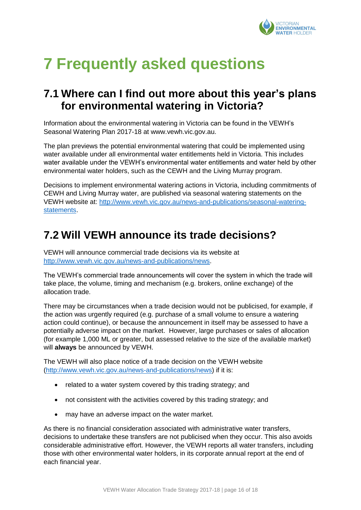

# <span id="page-15-0"></span>**7 Frequently asked questions**

### <span id="page-15-1"></span>**7.1 Where can I find out more about this year's plans for environmental watering in Victoria?**

Information about the environmental watering in Victoria can be found in the VEWH's Seasonal Watering Plan 2017-18 at www.vewh.vic.gov.au.

The plan previews the potential environmental watering that could be implemented using water available under all environmental water entitlements held in Victoria. This includes water available under the VEWH's environmental water entitlements and water held by other environmental water holders, such as the CEWH and the Living Murray program.

Decisions to implement environmental watering actions in Victoria, including commitments of CEWH and Living Murray water, are published via seasonal watering statements on the VEWH website at: [http://www.vewh.vic.gov.au/news-and-publications/seasonal-watering](http://www.vewh.vic.gov.au/news-and-publications/seasonal-watering-statements)[statements.](http://www.vewh.vic.gov.au/news-and-publications/seasonal-watering-statements)

### <span id="page-15-2"></span>**7.2 Will VEWH announce its trade decisions?**

VEWH will announce commercial trade decisions via its website at [http://www.vewh.vic.gov.au/news-and-publications/news.](http://www.vewh.vic.gov.au/news-and-publications/news)

The VEWH's commercial trade announcements will cover the system in which the trade will take place, the volume, timing and mechanism (e.g. brokers, online exchange) of the allocation trade.

There may be circumstances when a trade decision would not be publicised, for example, if the action was urgently required (e.g. purchase of a small volume to ensure a watering action could continue), or because the announcement in itself may be assessed to have a potentially adverse impact on the market. However, large purchases or sales of allocation (for example 1,000 ML or greater, but assessed relative to the size of the available market) will **always** be announced by VEWH.

The VEWH will also place notice of a trade decision on the VEWH website [\(http://www.vewh.vic.gov.au/news-and-publications/news\)](http://www.vewh.vic.gov.au/news-and-publications/news) if it is:

- related to a water system covered by this trading strategy; and
- not consistent with the activities covered by this trading strategy; and
- may have an adverse impact on the water market.

As there is no financial consideration associated with administrative water transfers, decisions to undertake these transfers are not publicised when they occur. This also avoids considerable administrative effort. However, the VEWH reports all water transfers, including those with other environmental water holders, in its corporate annual report at the end of each financial year.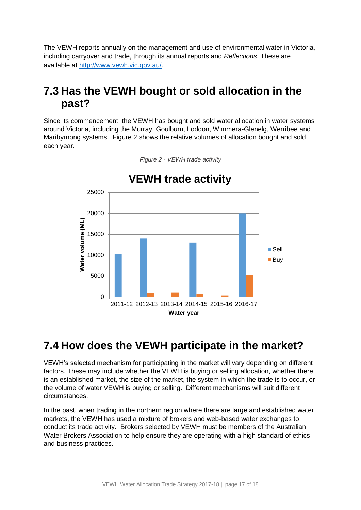The VEWH reports annually on the management and use of environmental water in Victoria, including carryover and trade, through its annual reports and *Reflections*. These are available at [http://www.vewh.vic.gov.au/.](http://www.vewh.vic.gov.au/)

### <span id="page-16-0"></span>**7.3 Has the VEWH bought or sold allocation in the past?**

Since its commencement, the VEWH has bought and sold water allocation in water systems around Victoria, including the Murray, Goulburn, Loddon, Wimmera-Glenelg, Werribee and Maribyrnong systems. [Figure 2](#page-16-2) shows the relative volumes of allocation bought and sold each year.

<span id="page-16-2"></span>

*Figure 2 - VEWH trade activity*

### <span id="page-16-1"></span>**7.4 How does the VEWH participate in the market?**

VEWH's selected mechanism for participating in the market will vary depending on different factors. These may include whether the VEWH is buying or selling allocation, whether there is an established market, the size of the market, the system in which the trade is to occur, or the volume of water VEWH is buying or selling. Different mechanisms will suit different circumstances.

In the past, when trading in the northern region where there are large and established water markets, the VEWH has used a mixture of brokers and web-based water exchanges to conduct its trade activity. Brokers selected by VEWH must be members of the Australian Water Brokers Association to help ensure they are operating with a high standard of ethics and business practices.